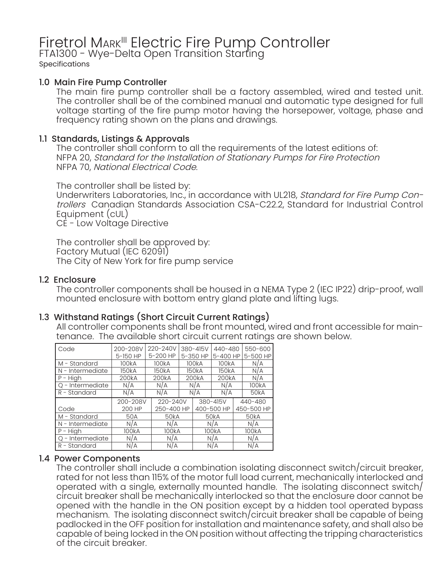# Firetrol Mark<sup>III</sup> Electric Fire Pump Controller<br>FTA1300 - Wye-Delta Open Transition Starting

Specifications

## 1.0 Main Fire Pump Controller

The main fire pump controller shall be a factory assembled, wired and tested unit. The controller shall be of the combined manual and automatic type designed for full voltage starting of the fire pump motor having the horsepower, voltage, phase and frequency rating shown on the plans and drawings.

## 1.1 Standards, Listings & Approvals

The controller shall conform to all the requirements of the latest editions of: NFPA 20, Standard for the Installation of Stationary Pumps for Fire Protection NFPA 70, National Electrical Code.

The controller shall be listed by:

Underwriters Laboratories, Inc., in accordance with UL218, Standard for Fire Pump Controllers Canadian Standards Association CSA-C22.2, Standard for Industrial Control Equipment (cUL)

CE - Low Voltage Directive

The controller shall be approved by: Factory Mutual (IEC 62091) The City of New York for fire pump service

## 1.2 Enclosure

The controller components shall be housed in a NEMA Type 2 (IEC IP22) drip-proof, wall mounted enclosure with bottom entry gland plate and lifting lugs.

## 1.3 Withstand Ratings (Short Circuit Current Ratings)

All controller components shall be front mounted, wired and front accessible for maintenance. The available short circuit current ratings are shown below.

| Code                  | 200-208V           |       | 220-240V          |                    | 380-415V | 440-480            |  | 550-600            |
|-----------------------|--------------------|-------|-------------------|--------------------|----------|--------------------|--|--------------------|
|                       | 5-150 HP           |       | 5-200 HP          |                    | 5-350 HP | 5-400 HP           |  | 5-500 HP           |
| M - Standard          | 100 <sub>k</sub> A |       | 100kA             | 100 <sub>k</sub> A |          | 100 <sub>k</sub> A |  | N/A                |
| N - Intermediate      | 150kA              | 150kA |                   | 150kA              |          | 150kA              |  | N/A                |
| $\overline{P}$ – High | 200 <sub>k</sub> A |       | 200kA             |                    | 200kA    | 200kA              |  | N/A                |
| Q - Intermediate      | N/A                |       | N/A               |                    | N/A      | N/A                |  | 100 <sub>k</sub> A |
| $R -$ Standard        | N/A                | N/A   |                   | N/A                |          | N/A                |  | 50 <sub>k</sub> A  |
|                       |                    |       |                   |                    |          |                    |  |                    |
|                       | 200-208V           |       | 220-240V          |                    |          | 380-415V           |  | 440-480            |
| Code                  | 200 HP             |       | 250-400 HP        |                    |          | 400-500 HP         |  | 450-500 HP         |
| M - Standard          | 50A                |       | 50 <sub>k</sub> A |                    |          | 50kA               |  | 50 <sub>k</sub> A  |
| N - Intermediate      | N/A                |       | N/A               |                    |          | N/A                |  | N/A                |
| $P - High$            | 100kA              |       | 100kA             |                    |          | 100kA              |  | 100kA              |
| Q - Intermediate      | N/A                |       | N/A               |                    |          | N/A                |  | N/A                |

#### 1.4 Power Components

The controller shall include a combination isolating disconnect switch/circuit breaker, rated for not less than 115% of the motor full load current, mechanically interlocked and operated with a single, externally mounted handle. The isolating disconnect switch/ circuit breaker shall be mechanically interlocked so that the enclosure door cannot be opened with the handle in the ON position except by a hidden tool operated bypass mechanism. The isolating disconnect switch/circuit breaker shall be capable of being padlocked in the OFF position for installation and maintenance safety, and shall also be capable of being locked in the ON position without affecting the tripping characteristics of the circuit breaker.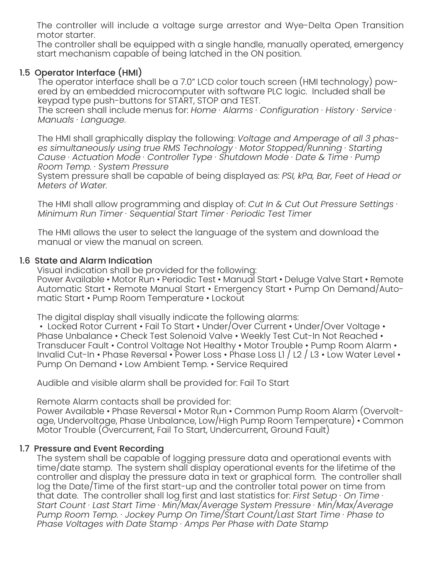The controller will include a voltage surge arrestor and Wye-Delta Open Transition motor starter.

The controller shall be equipped with a single handle, manually operated, emergency start mechanism capable of being latched in the ON position.

# 1.5 Operator Interface (HMI)

The operator interface shall be a 7.0" LCD color touch screen (HMI technology) powered by an embedded microcomputer with software PLC logic. Included shall be keypad type push-buttons for START, STOP and TEST.

The screen shall include menus for: *Home · Alarms · Configuration · History · Service · Manuals · Language*.

The HMI shall graphically display the following: *Voltage and Amperage of all 3 phases simultaneously using true RMS Technology · Motor Stopped/Running · Starting Cause · Actuation Mode · Controller Type · Shutdown Mode · Date & Time · Pump Room Temp. · System Pressure*

System pressure shall be capable of being displayed as: *PSI, kPa, Bar, Feet of Head or Meters of Water.*

The HMI shall allow programming and display of: *Cut In & Cut Out Pressure Settings · Minimum Run Timer · Sequential Start Timer · Periodic Test Timer*

The HMI allows the user to select the language of the system and download the manual or view the manual on screen.

## 1.6 State and Alarm Indication

Visual indication shall be provided for the following:

Power Available • Motor Run • Periodic Test • Manual Start • Deluge Valve Start • Remote Automatic Start • Remote Manual Start • Emergency Start • Pump On Demand/Automatic Start • Pump Room Temperature • Lockout

The digital display shall visually indicate the following alarms:

• Locked Rotor Current • Fail To Start • Under/Over Current • Under/Over Voltage • Phase Unbalance • Check Test Solenoid Valve • Weekly Test Cut-In Not Reached • Transducer Fault • Control Voltage Not Healthy • Motor Trouble • Pump Room Alarm • Invalid Cut-In • Phase Reversal • Power Loss • Phase Loss L1 / L2 / L3 • Low Water Level • Pump On Demand • Low Ambient Temp. • Service Required

Audible and visible alarm shall be provided for: Fail To Start

Remote Alarm contacts shall be provided for:

Power Available • Phase Reversal • Motor Run • Common Pump Room Alarm (Overvoltage, Undervoltage, Phase Unbalance, Low/High Pump Room Temperature) • Common Motor Trouble (Overcurrent, Fail To Start, Undercurrent, Ground Fault)

# 1.7 Pressure and Event Recording

The system shall be capable of logging pressure data and operational events with time/date stamp. The system shall display operational events for the lifetime of the controller and display the pressure data in text or graphical form. The controller shall log the Date/Time of the first start-up and the controller total power on time from that date. The controller shall log first and last statistics for: *First Setup · On Time · Start Count · Last Start Time · Min/Max/Average System Pressure · Min/Max/Average Pump Room Temp. · Jockey Pump On Time/Start Count/Last Start Time · Phase to Phase Voltages with Date Stamp · Amps Per Phase with Date Stamp*